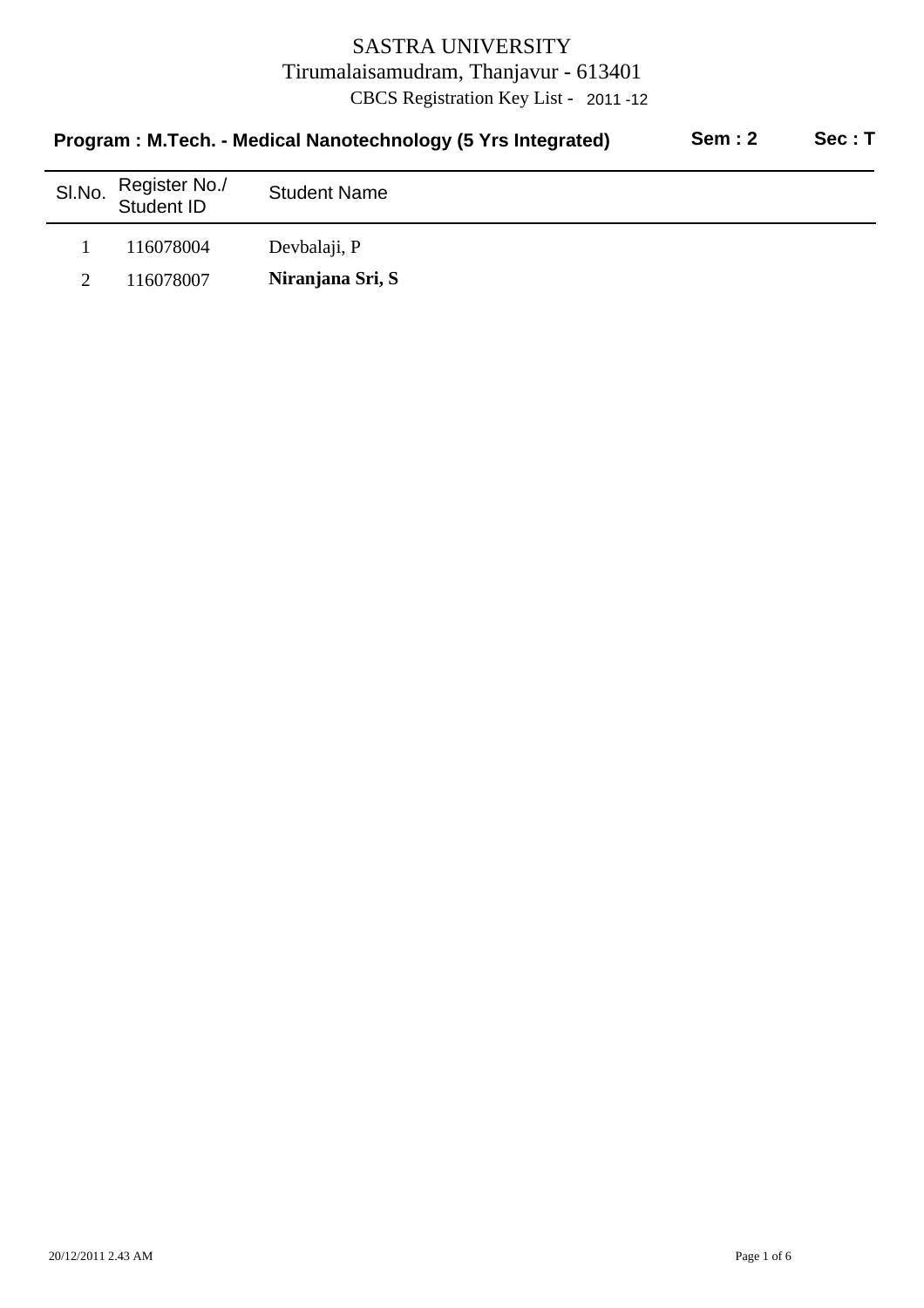| Program: M.Tech. - Medical Nanotechnology (5 Yrs Integrated) |                             |                     | <b>Sem: 2</b> | Sec: T |
|--------------------------------------------------------------|-----------------------------|---------------------|---------------|--------|
| SI.No.                                                       | Register No./<br>Student ID | <b>Student Name</b> |               |        |
|                                                              | 116078004                   | Devbalaji, P        |               |        |
|                                                              | 116078007                   | Niranjana Sri, S    |               |        |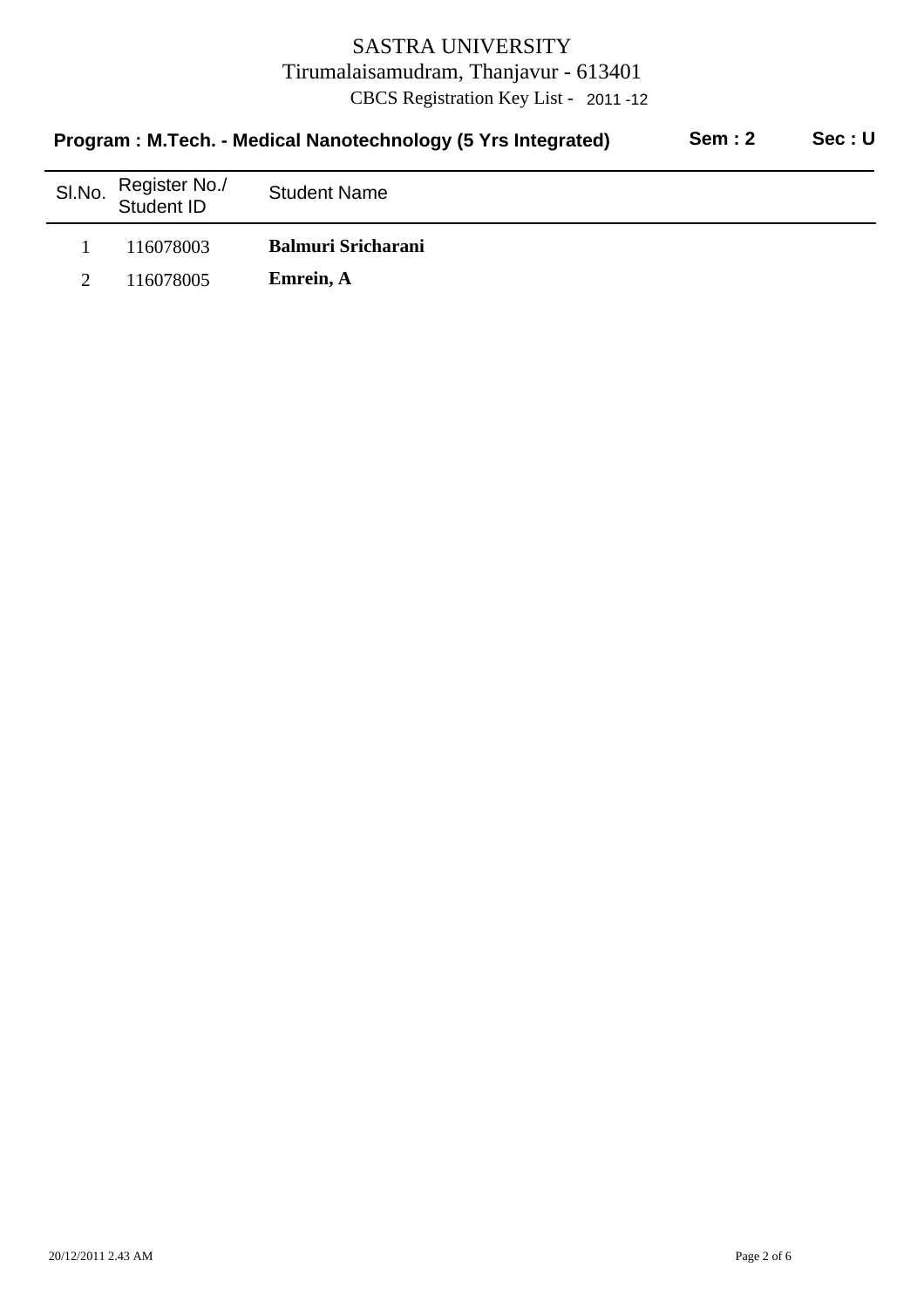| <b>Sem: 2</b><br>Program: M.Tech. - Medical Nanotechnology (5 Yrs Integrated) |                             |                           |  | Sec:U |
|-------------------------------------------------------------------------------|-----------------------------|---------------------------|--|-------|
| SI.No.                                                                        | Register No./<br>Student ID | <b>Student Name</b>       |  |       |
|                                                                               | 116078003                   | <b>Balmuri Sricharani</b> |  |       |
|                                                                               | 116078005                   | Emrein, A                 |  |       |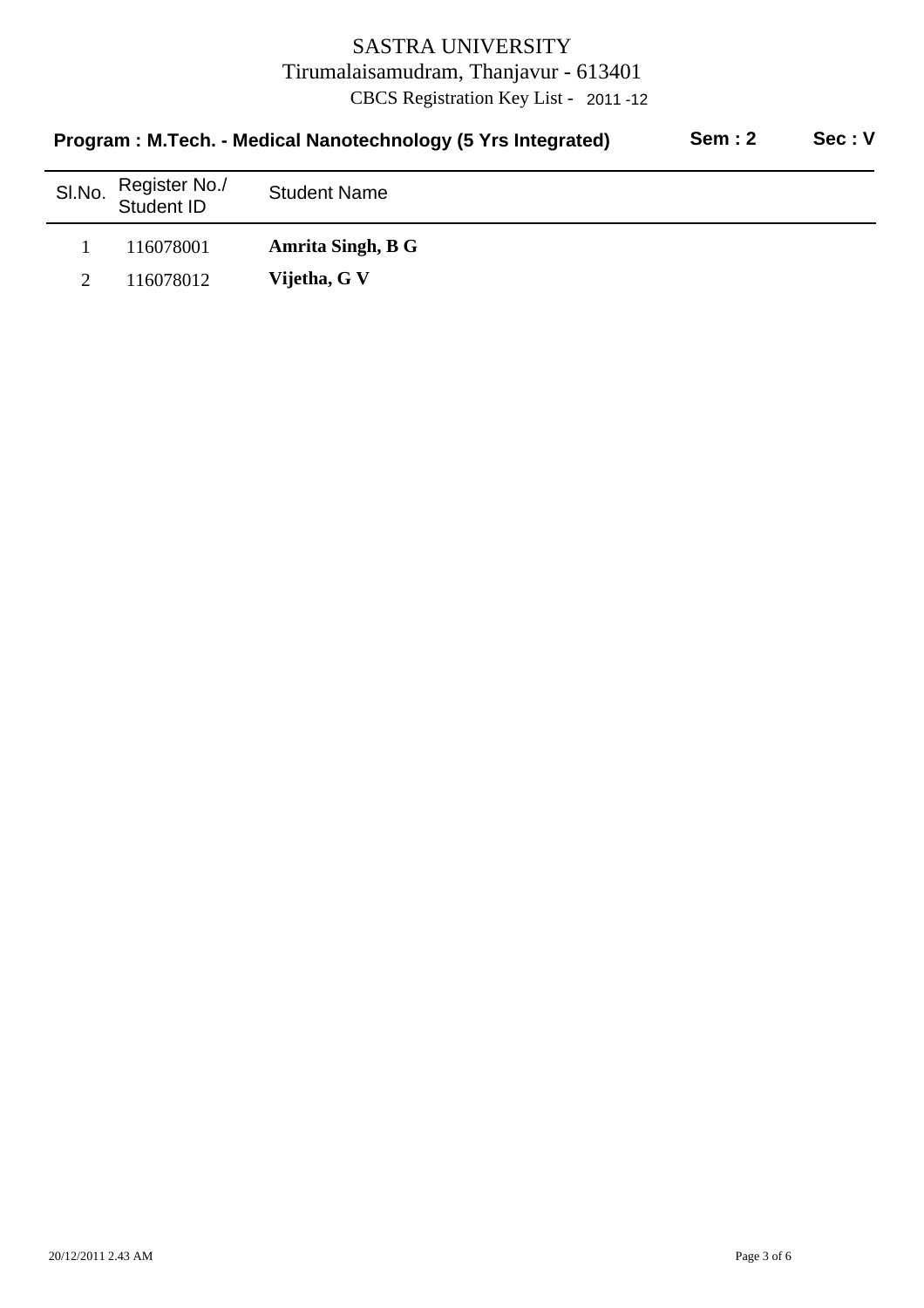| Program: M.Tech. - Medical Nanotechnology (5 Yrs Integrated) |                             |                     | <b>Sem: 2</b> | Sec: V |
|--------------------------------------------------------------|-----------------------------|---------------------|---------------|--------|
| SI.No.                                                       | Register No./<br>Student ID | <b>Student Name</b> |               |        |
|                                                              | 116078001                   | Amrita Singh, B G   |               |        |
|                                                              | 116078012                   | Vijetha, G V        |               |        |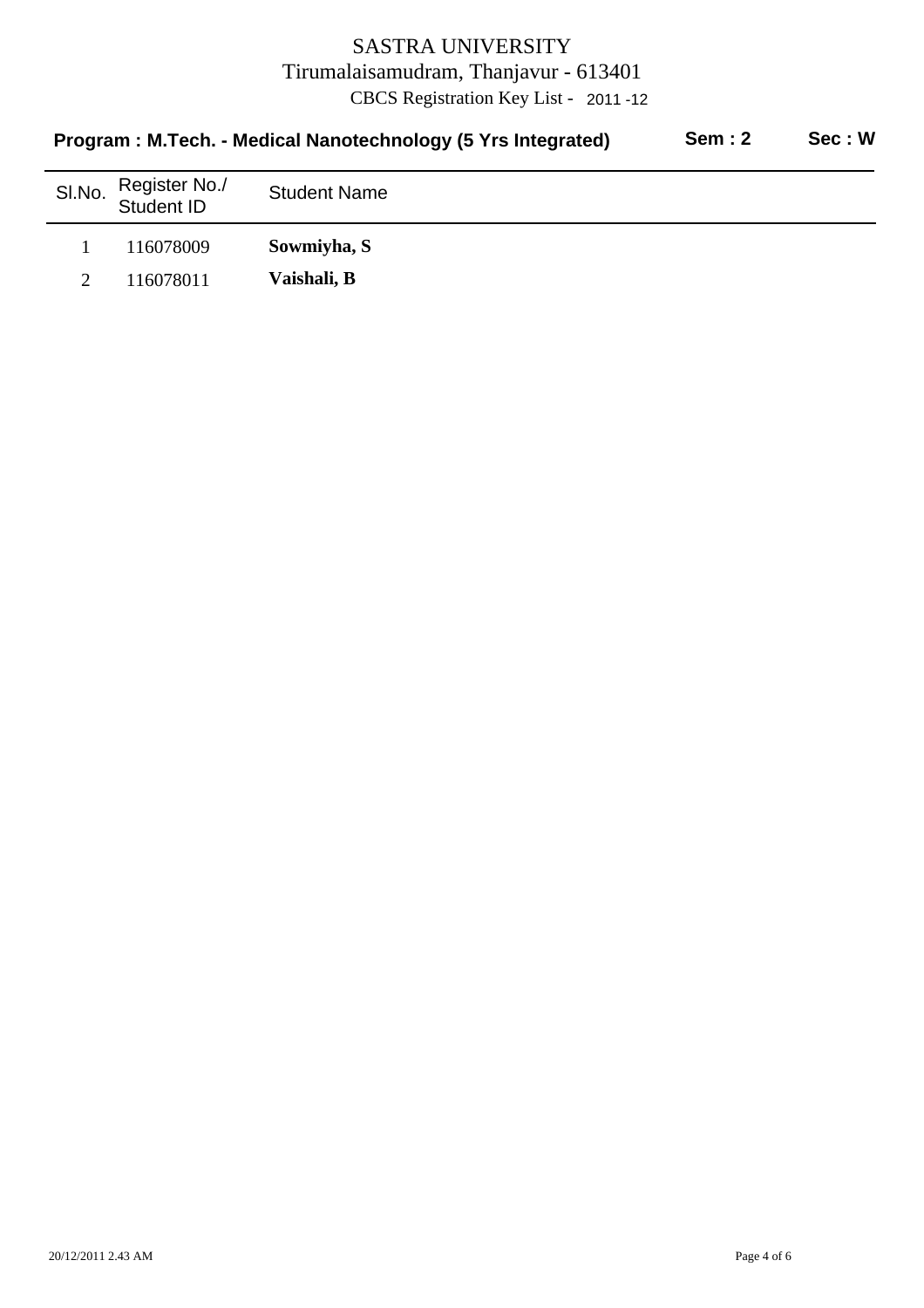| Program: M.Tech. - Medical Nanotechnology (5 Yrs Integrated) |                             |                     | <b>Sem: 2</b> | Sec: W |
|--------------------------------------------------------------|-----------------------------|---------------------|---------------|--------|
| SI.No.                                                       | Register No./<br>Student ID | <b>Student Name</b> |               |        |
|                                                              | 116078009                   | Sowmiyha, S         |               |        |
|                                                              | 116078011                   | Vaishali, B         |               |        |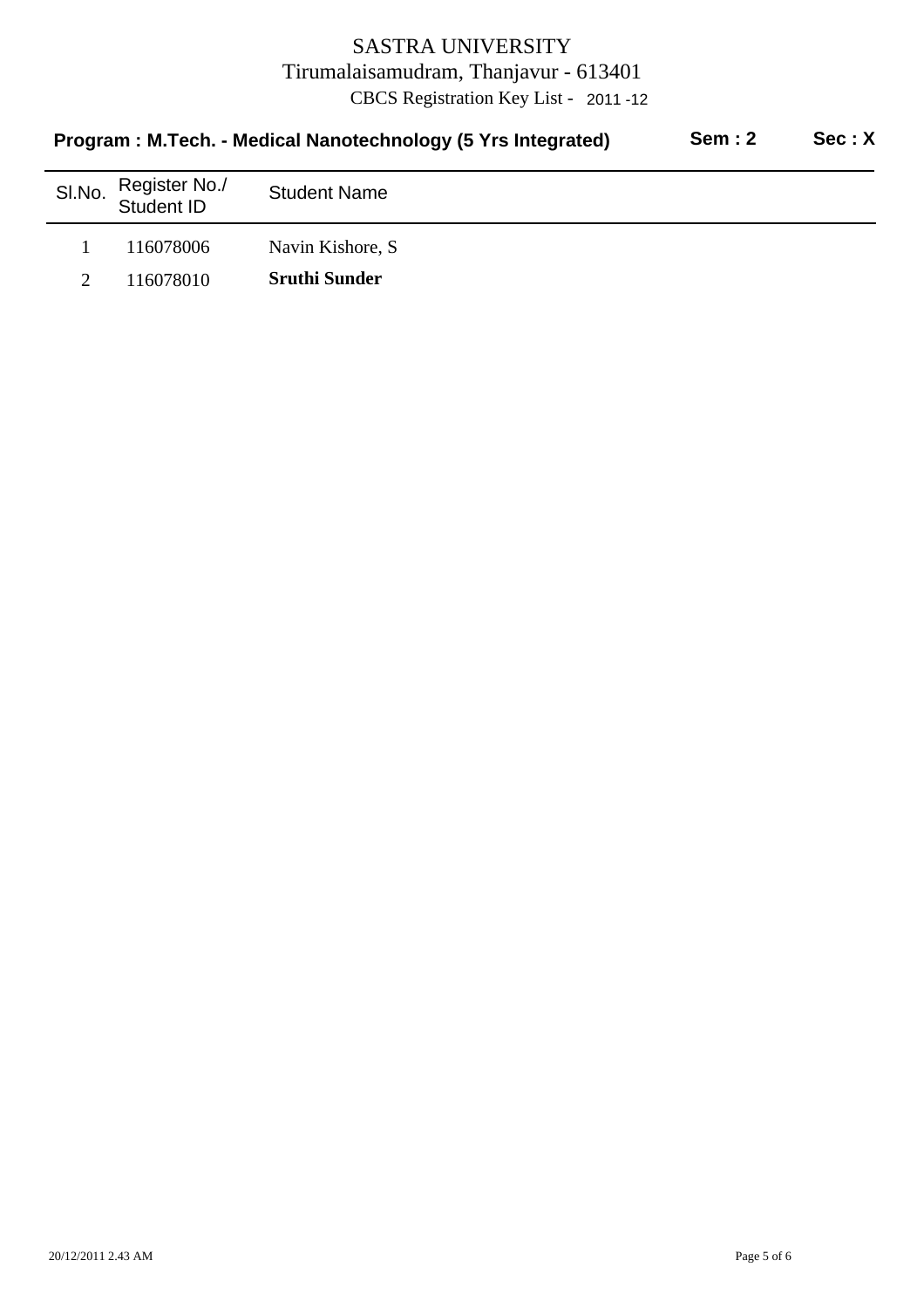| Program: M.Tech. - Medical Nanotechnology (5 Yrs Integrated) |                             |                      | <b>Sem: 2</b> | Sec: X |
|--------------------------------------------------------------|-----------------------------|----------------------|---------------|--------|
| SI.No.                                                       | Register No./<br>Student ID | <b>Student Name</b>  |               |        |
|                                                              | 116078006                   | Navin Kishore, S.    |               |        |
|                                                              | 116078010                   | <b>Sruthi Sunder</b> |               |        |
|                                                              |                             |                      |               |        |